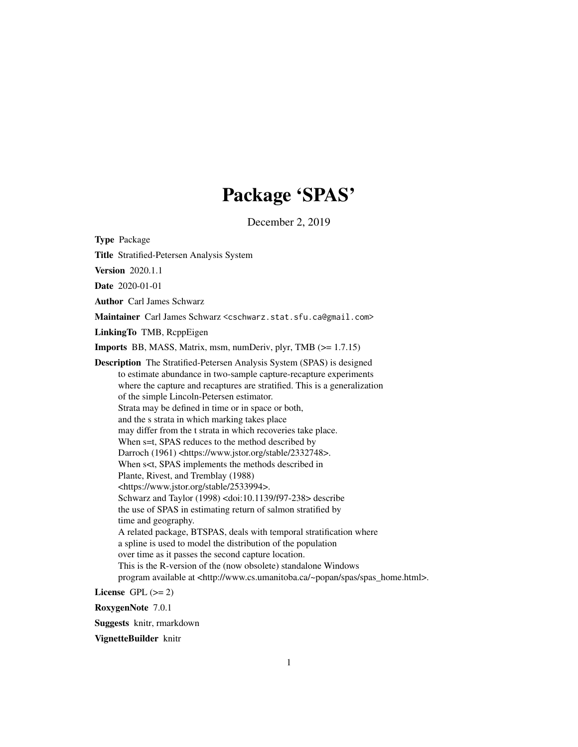## Package 'SPAS'

December 2, 2019

Type Package

Title Stratified-Petersen Analysis System

Version 2020.1.1

Date 2020-01-01

Author Carl James Schwarz

Maintainer Carl James Schwarz <cschwarz.stat.sfu.ca@gmail.com>

LinkingTo TMB, RcppEigen

Imports BB, MASS, Matrix, msm, numDeriv, plyr, TMB (>= 1.7.15)

Description The Stratified-Petersen Analysis System (SPAS) is designed to estimate abundance in two-sample capture-recapture experiments where the capture and recaptures are stratified. This is a generalization of the simple Lincoln-Petersen estimator. Strata may be defined in time or in space or both, and the s strata in which marking takes place may differ from the t strata in which recoveries take place. When s=t, SPAS reduces to the method described by Darroch (1961) <https://www.jstor.org/stable/2332748>. When s<t, SPAS implements the methods described in Plante, Rivest, and Tremblay (1988) <https://www.jstor.org/stable/2533994>. Schwarz and Taylor (1998) <doi:10.1139/f97-238> describe the use of SPAS in estimating return of salmon stratified by time and geography. A related package, BTSPAS, deals with temporal stratification where a spline is used to model the distribution of the population over time as it passes the second capture location. This is the R-version of the (now obsolete) standalone Windows program available at <http://www.cs.umanitoba.ca/~popan/spas/spas\_home.html>.

License GPL  $(>= 2)$ 

RoxygenNote 7.0.1

Suggests knitr, rmarkdown

VignetteBuilder knitr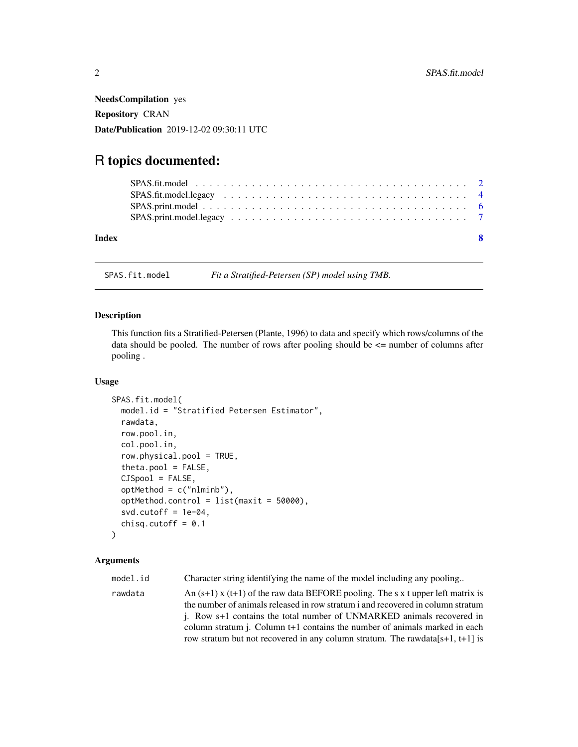<span id="page-1-0"></span>NeedsCompilation yes Repository CRAN Date/Publication 2019-12-02 09:30:11 UTC

## R topics documented:

| Index |  |  |  |  |  |  |  |  |  |  |  |  |  |  |  | $\mathbf{R}$ |
|-------|--|--|--|--|--|--|--|--|--|--|--|--|--|--|--|--------------|

SPAS.fit.model *Fit a Stratified-Petersen (SP) model using TMB.*

#### Description

This function fits a Stratified-Petersen (Plante, 1996) to data and specify which rows/columns of the data should be pooled. The number of rows after pooling should be  $\leq$  number of columns after pooling .

#### Usage

```
SPAS.fit.model(
  model.id = "Stratified Petersen Estimator",
  rawdata,
  row.pool.in,
  col.pool.in,
  row.physical.pool = TRUE,
  theta.pool = FALSE,CJSpool = FALSE,
  optMethod = c("nlminb"),optMethod.contribol = list(maxit = 50000),
  svd.cutoff = 1e-04,
  chisq.cutoff = 0.1)
```
#### Arguments

model.id Character string identifying the name of the model including any pooling...

rawdata  $\Delta n$  (s+1) x (t+1) of the raw data BEFORE pooling. The s x t upper left matrix is the number of animals released in row stratum i and recovered in column stratum j. Row s+1 contains the total number of UNMARKED animals recovered in column stratum j. Column t+1 contains the number of animals marked in each row stratum but not recovered in any column stratum. The rawdata[s+1, t+1] is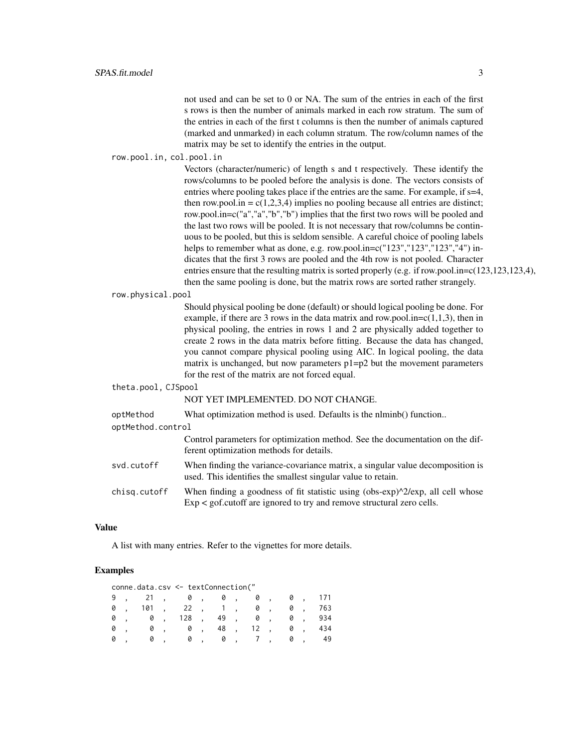not used and can be set to 0 or NA. The sum of the entries in each of the first s rows is then the number of animals marked in each row stratum. The sum of the entries in each of the first t columns is then the number of animals captured (marked and unmarked) in each column stratum. The row/column names of the matrix may be set to identify the entries in the output.

row.pool.in, col.pool.in

Vectors (character/numeric) of length s and t respectively. These identify the rows/columns to be pooled before the analysis is done. The vectors consists of entries where pooling takes place if the entries are the same. For example, if  $s=4$ , then row.pool.in =  $c(1,2,3,4)$  implies no pooling because all entries are distinct; row.pool.in=c("a","a","b","b") implies that the first two rows will be pooled and the last two rows will be pooled. It is not necessary that row/columns be continuous to be pooled, but this is seldom sensible. A careful choice of pooling labels helps to remember what as done, e.g. row.pool.in=c("123","123","123","4") indicates that the first 3 rows are pooled and the 4th row is not pooled. Character entries ensure that the resulting matrix is sorted properly (e.g. if row.pool.in= $c(123,123,123,4)$ , then the same pooling is done, but the matrix rows are sorted rather strangely.

row.physical.pool

Should physical pooling be done (default) or should logical pooling be done. For example, if there are 3 rows in the data matrix and row.pool.in= $c(1,1,3)$ , then in physical pooling, the entries in rows 1 and 2 are physically added together to create 2 rows in the data matrix before fitting. Because the data has changed, you cannot compare physical pooling using AIC. In logical pooling, the data matrix is unchanged, but now parameters  $p1=p2$  but the movement parameters for the rest of the matrix are not forced equal.

theta.pool, CJSpool

#### NOT YET IMPLEMENTED. DO NOT CHANGE.

| optMethod         | What optimization method is used. Defaults is the nlminb() function                                                                                                        |
|-------------------|----------------------------------------------------------------------------------------------------------------------------------------------------------------------------|
| optMethod.control |                                                                                                                                                                            |
|                   | Control parameters for optimization method. See the documentation on the dif-<br>ferent optimization methods for details.                                                  |
| svd.cutoff        | When finding the variance-covariance matrix, a singular value decomposition is<br>used. This identifies the smallest singular value to retain.                             |
| chisg.cutoff      | When finding a goodness of fit statistic using (obs-exp) $\frac{\gamma}{2}$ exp, all cell whose<br>$Exp <$ gof.cutoff are ignored to try and remove structural zero cells. |

#### Value

A list with many entries. Refer to the vignettes for more details.

#### Examples

|   |     | conne.data.csv <- textConnection(" |                          |             |                     |              |                          |    |          |     |
|---|-----|------------------------------------|--------------------------|-------------|---------------------|--------------|--------------------------|----|----------|-----|
|   | 21, | 0,                                 |                          |             | 0,                  | Ø            | $\overline{\phantom{a}}$ | 0, |          | 171 |
| 0 | 101 | 22,                                |                          | 1, 1        |                     | Ø            | $\sim$                   | 0  |          | 763 |
| 0 | 0   |                                    |                          | $128$ , 49, |                     | 0,           |                          | 0  | ting and | 934 |
| 0 | 0   | 0                                  | $\overline{\phantom{a}}$ | 48,         |                     | $12 \quad ,$ |                          |    | 0,       | 434 |
|   |     |                                    | 0,                       | 0           | $\cdot$ , , , , , , |              |                          | 0  |          | 49  |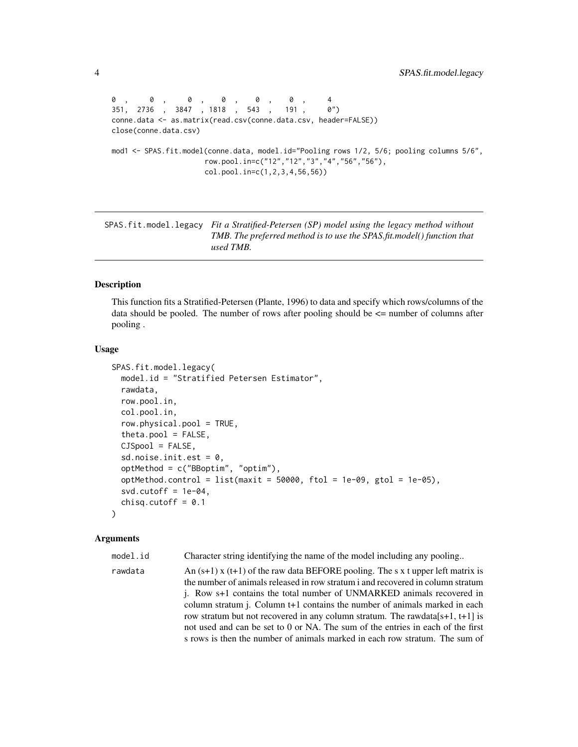```
0 , 0 , 0 , 0 , 0 , 0 , 4
351, 2736 , 3847 , 1818 , 543 , 191 , 0")
conne.data <- as.matrix(read.csv(conne.data.csv, header=FALSE))
close(conne.data.csv)
mod1 <- SPAS.fit.model(conne.data, model.id="Pooling rows 1/2, 5/6; pooling columns 5/6",
                    row.pool.in=c("12","12","3","4","56","56"),
                    col.pool.in=c(1,2,3,4,56,56))
```
SPAS.fit.model.legacy *Fit a Stratified-Petersen (SP) model using the legacy method without TMB. The preferred method is to use the SPAS.fit.model() function that used TMB.*

#### Description

This function fits a Stratified-Petersen (Plante, 1996) to data and specify which rows/columns of the data should be pooled. The number of rows after pooling should be  $\leq$  number of columns after pooling .

#### Usage

```
SPAS.fit.model.legacy(
  model.id = "Stratified Petersen Estimator",
  rawdata,
  row.pool.in,
  col.pool.in,
  row.physical.pool = TRUE,
  theta.pool = FALSE,CJSpool = FALSE,
  sd.noise.init.est = 0,
  optMethod = c("BBoptim", "optim"),
  optMethod.control = list(maxit = 50000, ftol = 1e-09, gtol = 1e-05),
  svd.cutoff = 1e-04,
  chisq.cutoff = 0.1)
```
#### Arguments

model.id Character string identifying the name of the model including any pooling... rawdata  $\text{An}(s+1) \times (t+1)$  of the raw data BEFORE pooling. The s x t upper left matrix is the number of animals released in row stratum i and recovered in column stratum j. Row s+1 contains the total number of UNMARKED animals recovered in column stratum j. Column t+1 contains the number of animals marked in each row stratum but not recovered in any column stratum. The rawdata $[s+1, t+1]$  is not used and can be set to 0 or NA. The sum of the entries in each of the first s rows is then the number of animals marked in each row stratum. The sum of

<span id="page-3-0"></span>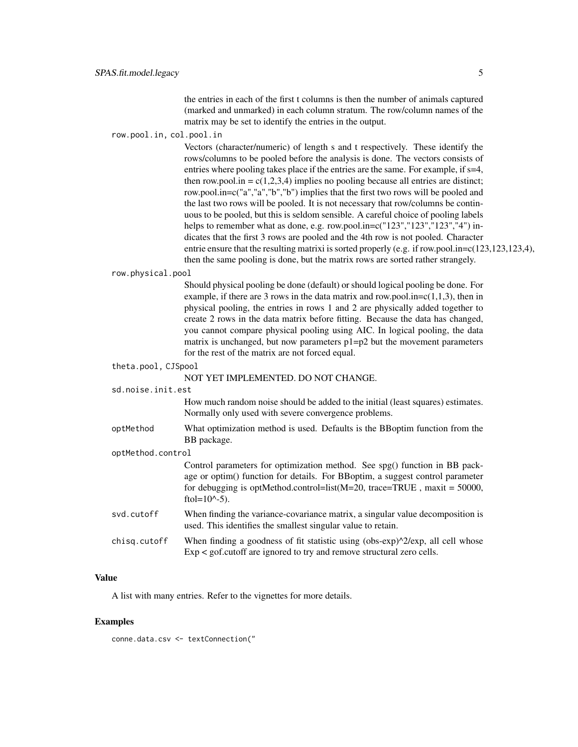the entries in each of the first t columns is then the number of animals captured (marked and unmarked) in each column stratum. The row/column names of the matrix may be set to identify the entries in the output.

#### row.pool.in, col.pool.in

Vectors (character/numeric) of length s and t respectively. These identify the rows/columns to be pooled before the analysis is done. The vectors consists of entries where pooling takes place if the entries are the same. For example, if s=4, then row.pool.in =  $c(1,2,3,4)$  implies no pooling because all entries are distinct; row.pool.in=c("a","a","b","b") implies that the first two rows will be pooled and the last two rows will be pooled. It is not necessary that row/columns be continuous to be pooled, but this is seldom sensible. A careful choice of pooling labels helps to remember what as done, e.g. row.pool.in= $c("123", 123", 123", 4")$  indicates that the first 3 rows are pooled and the 4th row is not pooled. Character entrie ensure that the resulting matrixi is sorted properly (e.g. if row.pool.in=c(123,123,123,4), then the same pooling is done, but the matrix rows are sorted rather strangely.

#### row.physical.pool

Should physical pooling be done (default) or should logical pooling be done. For example, if there are 3 rows in the data matrix and row.pool.in= $c(1,1,3)$ , then in physical pooling, the entries in rows 1 and 2 are physically added together to create 2 rows in the data matrix before fitting. Because the data has changed, you cannot compare physical pooling using AIC. In logical pooling, the data matrix is unchanged, but now parameters  $p1=p2$  but the movement parameters for the rest of the matrix are not forced equal.

#### theta.pool, CJSpool

NOT YET IMPLEMENTED. DO NOT CHANGE.

sd.noise.init.est

How much random noise should be added to the initial (least squares) estimates. Normally only used with severe convergence problems.

- optMethod What optimization method is used. Defaults is the BBoptim function from the BB package.
- optMethod.control

Control parameters for optimization method. See spg() function in BB package or optim() function for details. For BBoptim, a suggest control parameter for debugging is optMethod.control=list(M=20, trace=TRUE , maxit = 50000, ftol= $10^{\circ}$ -5).

- svd.cutoff When finding the variance-covariance matrix, a singular value decomposition is used. This identifies the smallest singular value to retain.
- chisq.cutoff When finding a goodness of fit statistic using (obs-exp) $\frac{\Delta}{2}$ exp, all cell whose Exp < gof.cutoff are ignored to try and remove structural zero cells.

#### Value

A list with many entries. Refer to the vignettes for more details.

#### Examples

conne.data.csv <- textConnection("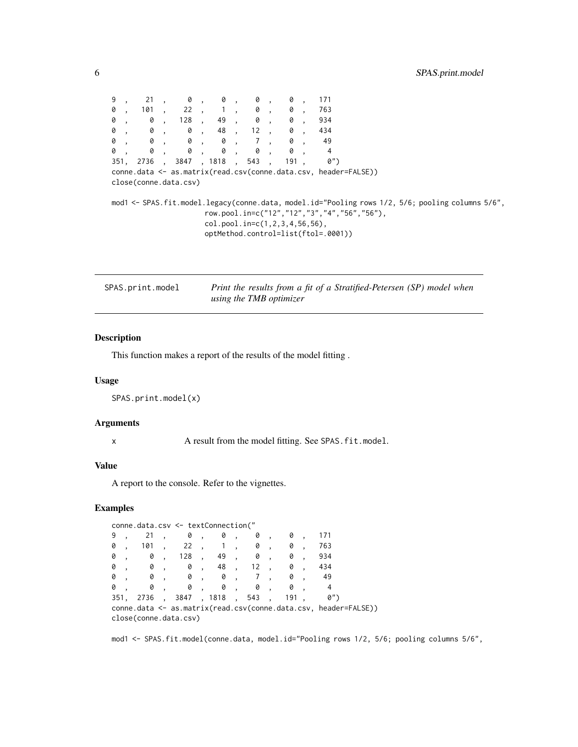<span id="page-5-0"></span>

| 9 |  | , 21, 0, 0, 0,                                                         |                                           |  | 0, | 171                                                             |                                                                                                                                                 |  |
|---|--|------------------------------------------------------------------------|-------------------------------------------|--|----|-----------------------------------------------------------------|-------------------------------------------------------------------------------------------------------------------------------------------------|--|
|   |  | 0, 101, 22, 1, 0, 0, 763                                               |                                           |  |    |                                                                 |                                                                                                                                                 |  |
|   |  | $0$ , $0$ , 128 , 49 , $0$ , $0$ ,                                     |                                           |  |    | 934                                                             |                                                                                                                                                 |  |
|   |  | $0$ , $0$ , $0$ , $48$ , $12$ , $0$ ,                                  |                                           |  |    | 434                                                             |                                                                                                                                                 |  |
|   |  | 0, 0, 0, 0, 7, 0,                                                      |                                           |  |    | - 49                                                            |                                                                                                                                                 |  |
|   |  | $\begin{matrix}0 & , & 0 & , & 0 & , & 0 & , & 0 & , & 0 \end{matrix}$ |                                           |  |    | $\overline{4}$                                                  |                                                                                                                                                 |  |
|   |  | 351, 2736 , 3847 , 1818 , 543 , 191 ,                                  |                                           |  |    | 0")                                                             |                                                                                                                                                 |  |
|   |  |                                                                        |                                           |  |    | conne.data <- as.matrix(read.csv(conne.data.csv, header=FALSE)) |                                                                                                                                                 |  |
|   |  | close(conne.data.csv)                                                  |                                           |  |    |                                                                 |                                                                                                                                                 |  |
|   |  |                                                                        |                                           |  |    |                                                                 |                                                                                                                                                 |  |
|   |  |                                                                        | $col. pool. in = c(1, 2, 3, 4, 56, 56)$ , |  |    | optMethod.control=list(ftol=.0001))                             | ,"mod1 <- SPAS.fit.model.legacy(conne.data, model.id="Pooling rows 1/2, 5/6; pooling columns 5/6<br>row.pool.in=c("12","12","3","4","56","56"), |  |

| SPAS.print.model | Print the results from a fit of a Stratified-Petersen (SP) model when |
|------------------|-----------------------------------------------------------------------|
|                  | using the TMB optimizer                                               |

#### Description

This function makes a report of the results of the model fitting .

#### Usage

SPAS.print.model(x)

#### Arguments

x A result from the model fitting. See SPAS.fit.model.

#### Value

A report to the console. Refer to the vignettes.

#### Examples

```
conne.data.csv <- textConnection("
9 , 21 , 0 , 0 , 0 , 0 , 171
0 , 101 , 22 , 1 , 0 , 0 , 763
0 , 0 , 128 , 49 , 0 , 0 , 934
0 , 0 , 0 , 48 , 12 , 0 , 434
0 , 0 , 0 , 0 , 7 , 0 , 49
0 , 0 , 0 , 0 , 0 , 0 , 4
351, 2736 , 3847 , 1818 , 543 , 191 , 0")
conne.data <- as.matrix(read.csv(conne.data.csv, header=FALSE))
close(conne.data.csv)
```
mod1 <- SPAS.fit.model(conne.data, model.id="Pooling rows 1/2, 5/6; pooling columns 5/6",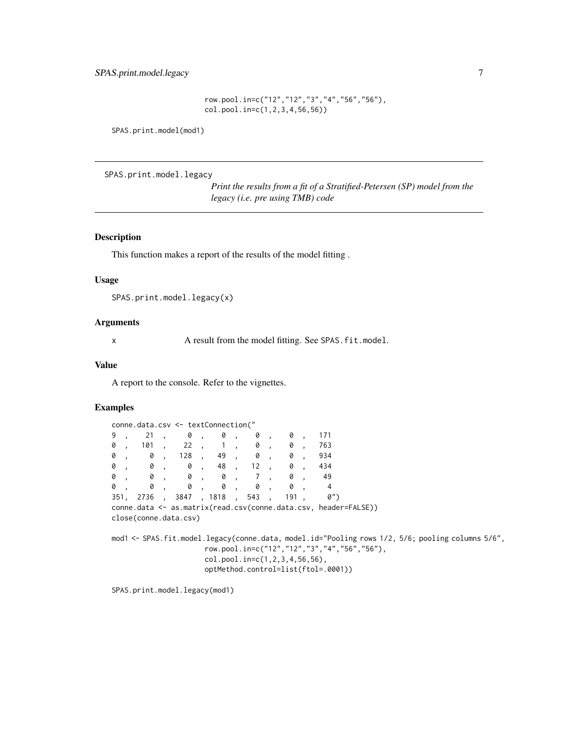row.pool.in=c("12","12","3","4","56","56"), col.pool.in=c(1,2,3,4,56,56))

<span id="page-6-0"></span>SPAS.print.model(mod1)

SPAS.print.model.legacy

*Print the results from a fit of a Stratified-Petersen (SP) model from the legacy (i.e. pre using TMB) code*

#### Description

This function makes a report of the results of the model fitting .

#### Usage

SPAS.print.model.legacy(x)

#### Arguments

x A result from the model fitting. See SPAS.fit.model.

### Value

A report to the console. Refer to the vignettes.

#### Examples

|    |  | conne.data.csv <- textConnection("          |                                       |  |  |                                                                                                                                                 |  |  |  |  |
|----|--|---------------------------------------------|---------------------------------------|--|--|-------------------------------------------------------------------------------------------------------------------------------------------------|--|--|--|--|
|    |  | 9, 21, 0, 0, 0, 0, 0, 171                   |                                       |  |  |                                                                                                                                                 |  |  |  |  |
| 0, |  | 101, 22, 1, 0, 0, 763                       |                                       |  |  |                                                                                                                                                 |  |  |  |  |
|    |  | $0$ , $0$ , 128 , 49 , $0$ , $0$ ,          |                                       |  |  | 934                                                                                                                                             |  |  |  |  |
|    |  | $0$ , $0$ , $0$ , $48$ , $12$ , $0$ , $434$ |                                       |  |  |                                                                                                                                                 |  |  |  |  |
|    |  | 0, 0, 0, 0, 7, 0, 49                        |                                       |  |  |                                                                                                                                                 |  |  |  |  |
|    |  | 0, 0, 0, 0, 0, 0, 4                         |                                       |  |  |                                                                                                                                                 |  |  |  |  |
|    |  | 351, 2736, 3847, 1818, 543, 191,            |                                       |  |  | $\emptyset$ ")                                                                                                                                  |  |  |  |  |
|    |  | close(conne.data.csv)                       |                                       |  |  | conne.data <- as.matrix(read.csv(conne.data.csv, header=FALSE))                                                                                 |  |  |  |  |
|    |  |                                             | $col.pool.in=c(1, 2, 3, 4, 56, 56)$ , |  |  | mod1 <- SPAS.fit.model.legacy(conne.data, model.id="Pooling rows 1/2, 5/6; pooling columns 5/6",<br>row.pool.in=c("12","12","3","4","56","56"), |  |  |  |  |

optMethod.control=list(ftol=.0001))

SPAS.print.model.legacy(mod1)